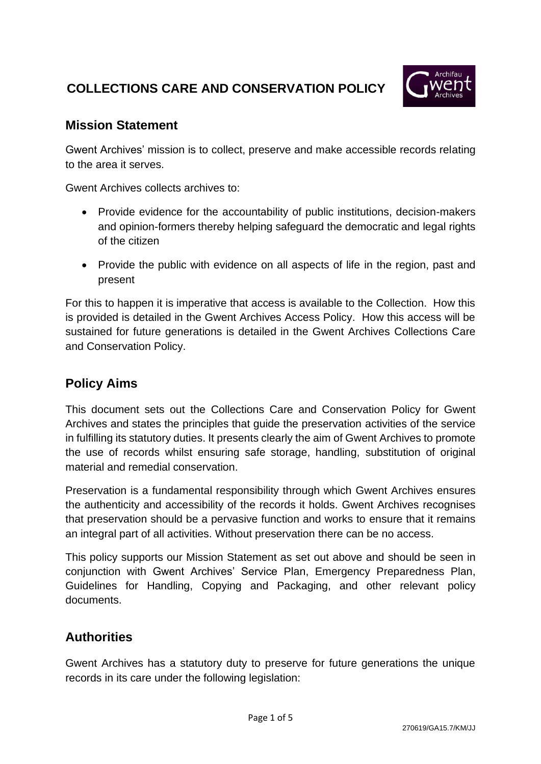# **COLLECTIONS CARE AND CONSERVATION POLICY**



#### **Mission Statement**

Gwent Archives' mission is to collect, preserve and make accessible records relating to the area it serves.

Gwent Archives collects archives to:

- Provide evidence for the accountability of public institutions, decision-makers and opinion-formers thereby helping safeguard the democratic and legal rights of the citizen
- Provide the public with evidence on all aspects of life in the region, past and present

For this to happen it is imperative that access is available to the Collection. How this is provided is detailed in the Gwent Archives Access Policy. How this access will be sustained for future generations is detailed in the Gwent Archives Collections Care and Conservation Policy.

# **Policy Aims**

This document sets out the Collections Care and Conservation Policy for Gwent Archives and states the principles that guide the preservation activities of the service in fulfilling its statutory duties. It presents clearly the aim of Gwent Archives to promote the use of records whilst ensuring safe storage, handling, substitution of original material and remedial conservation.

Preservation is a fundamental responsibility through which Gwent Archives ensures the authenticity and accessibility of the records it holds. Gwent Archives recognises that preservation should be a pervasive function and works to ensure that it remains an integral part of all activities. Without preservation there can be no access.

This policy supports our Mission Statement as set out above and should be seen in conjunction with Gwent Archives' Service Plan, Emergency Preparedness Plan, Guidelines for Handling, Copying and Packaging, and other relevant policy documents.

### **Authorities**

Gwent Archives has a statutory duty to preserve for future generations the unique records in its care under the following legislation: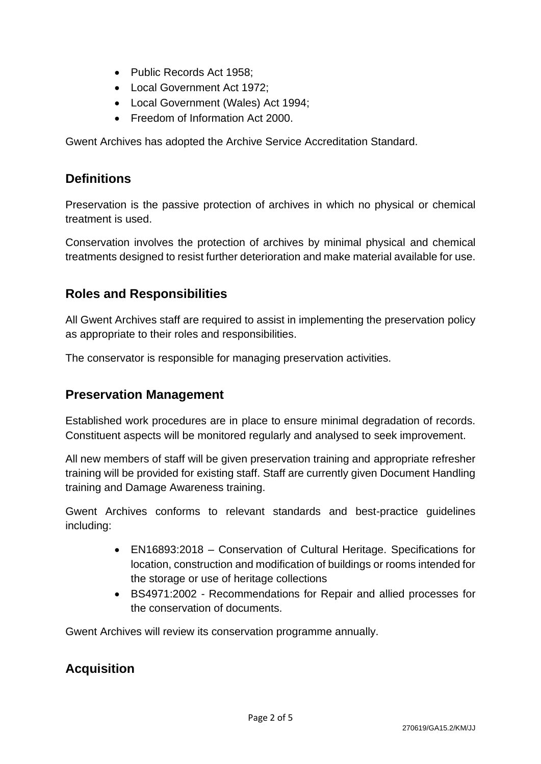- Public Records Act 1958;
- Local Government Act 1972:
- Local Government (Wales) Act 1994;
- Freedom of Information Act 2000.

Gwent Archives has adopted the Archive Service Accreditation Standard.

#### **Definitions**

Preservation is the passive protection of archives in which no physical or chemical treatment is used.

Conservation involves the protection of archives by minimal physical and chemical treatments designed to resist further deterioration and make material available for use.

#### **Roles and Responsibilities**

All Gwent Archives staff are required to assist in implementing the preservation policy as appropriate to their roles and responsibilities.

The conservator is responsible for managing preservation activities.

#### **Preservation Management**

Established work procedures are in place to ensure minimal degradation of records. Constituent aspects will be monitored regularly and analysed to seek improvement.

All new members of staff will be given preservation training and appropriate refresher training will be provided for existing staff. Staff are currently given Document Handling training and Damage Awareness training.

Gwent Archives conforms to relevant standards and best-practice guidelines including:

- EN16893:2018 Conservation of Cultural Heritage. Specifications for location, construction and modification of buildings or rooms intended for the storage or use of heritage collections
- BS4971:2002 Recommendations for Repair and allied processes for the conservation of documents.

Gwent Archives will review its conservation programme annually.

### **Acquisition**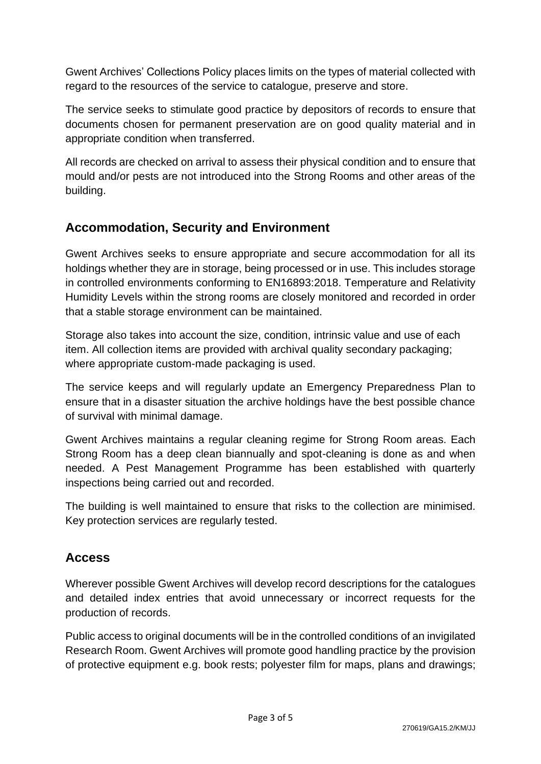Gwent Archives' Collections Policy places limits on the types of material collected with regard to the resources of the service to catalogue, preserve and store.

The service seeks to stimulate good practice by depositors of records to ensure that documents chosen for permanent preservation are on good quality material and in appropriate condition when transferred.

All records are checked on arrival to assess their physical condition and to ensure that mould and/or pests are not introduced into the Strong Rooms and other areas of the building.

## **Accommodation, Security and Environment**

Gwent Archives seeks to ensure appropriate and secure accommodation for all its holdings whether they are in storage, being processed or in use. This includes storage in controlled environments conforming to EN16893:2018. Temperature and Relativity Humidity Levels within the strong rooms are closely monitored and recorded in order that a stable storage environment can be maintained.

Storage also takes into account the size, condition, intrinsic value and use of each item. All collection items are provided with archival quality secondary packaging; where appropriate custom-made packaging is used.

The service keeps and will regularly update an Emergency Preparedness Plan to ensure that in a disaster situation the archive holdings have the best possible chance of survival with minimal damage.

Gwent Archives maintains a regular cleaning regime for Strong Room areas. Each Strong Room has a deep clean biannually and spot-cleaning is done as and when needed. A Pest Management Programme has been established with quarterly inspections being carried out and recorded.

The building is well maintained to ensure that risks to the collection are minimised. Key protection services are regularly tested.

# **Access**

Wherever possible Gwent Archives will develop record descriptions for the catalogues and detailed index entries that avoid unnecessary or incorrect requests for the production of records.

Public access to original documents will be in the controlled conditions of an invigilated Research Room. Gwent Archives will promote good handling practice by the provision of protective equipment e.g. book rests; polyester film for maps, plans and drawings;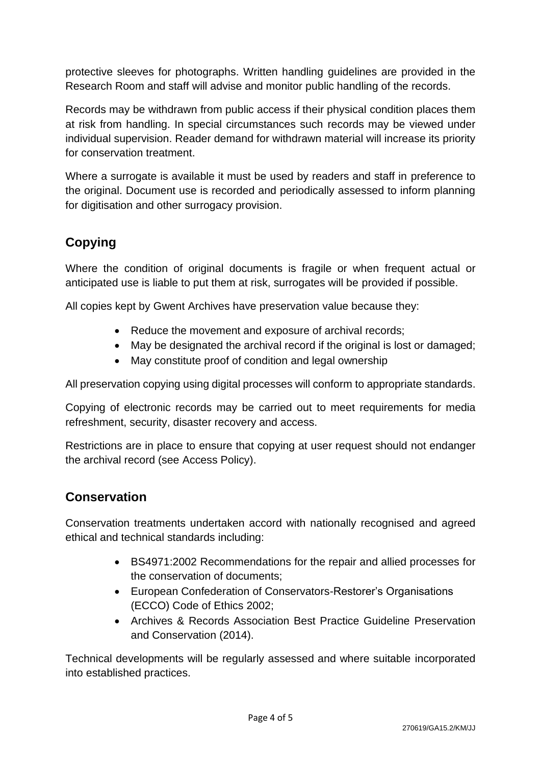protective sleeves for photographs. Written handling guidelines are provided in the Research Room and staff will advise and monitor public handling of the records.

Records may be withdrawn from public access if their physical condition places them at risk from handling. In special circumstances such records may be viewed under individual supervision. Reader demand for withdrawn material will increase its priority for conservation treatment.

Where a surrogate is available it must be used by readers and staff in preference to the original. Document use is recorded and periodically assessed to inform planning for digitisation and other surrogacy provision.

# **Copying**

Where the condition of original documents is fragile or when frequent actual or anticipated use is liable to put them at risk, surrogates will be provided if possible.

All copies kept by Gwent Archives have preservation value because they:

- Reduce the movement and exposure of archival records;
- May be designated the archival record if the original is lost or damaged;
- May constitute proof of condition and legal ownership

All preservation copying using digital processes will conform to appropriate standards.

Copying of electronic records may be carried out to meet requirements for media refreshment, security, disaster recovery and access.

Restrictions are in place to ensure that copying at user request should not endanger the archival record (see Access Policy).

# **Conservation**

Conservation treatments undertaken accord with nationally recognised and agreed ethical and technical standards including:

- BS4971:2002 Recommendations for the repair and allied processes for the conservation of documents;
- European Confederation of Conservators-Restorer's Organisations (ECCO) Code of Ethics 2002;
- Archives & Records Association Best Practice Guideline Preservation and Conservation (2014).

Technical developments will be regularly assessed and where suitable incorporated into established practices.